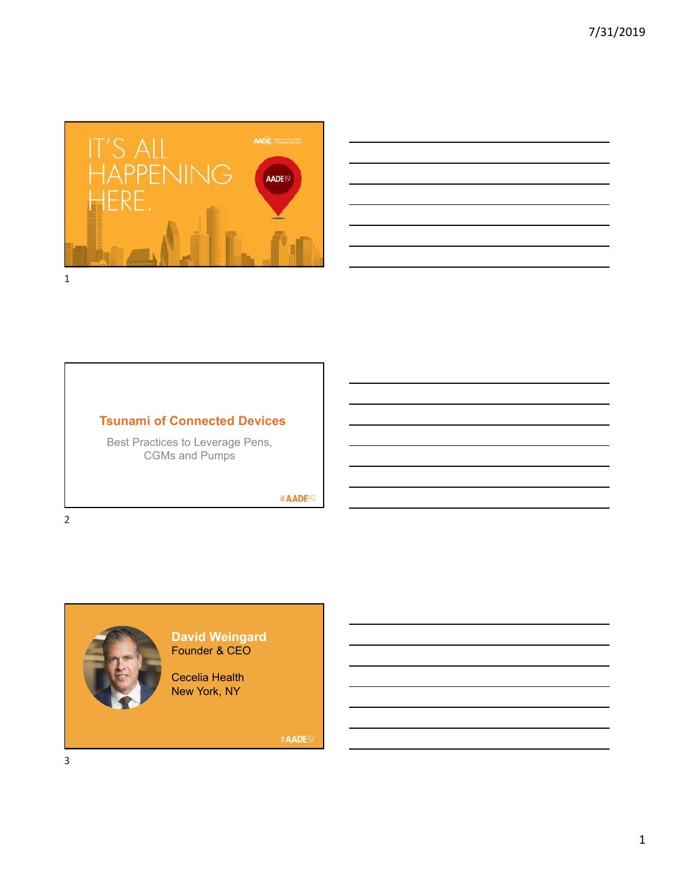



#### **Tsunami of Connected Devices**

Best Practices to Leverage Pens, CGMs and Pumps

#AADE<sup>19</sup>



#### **David Weingard** Founder & CEO

Cecelia Health New York, NY

#AADE<sup>19</sup>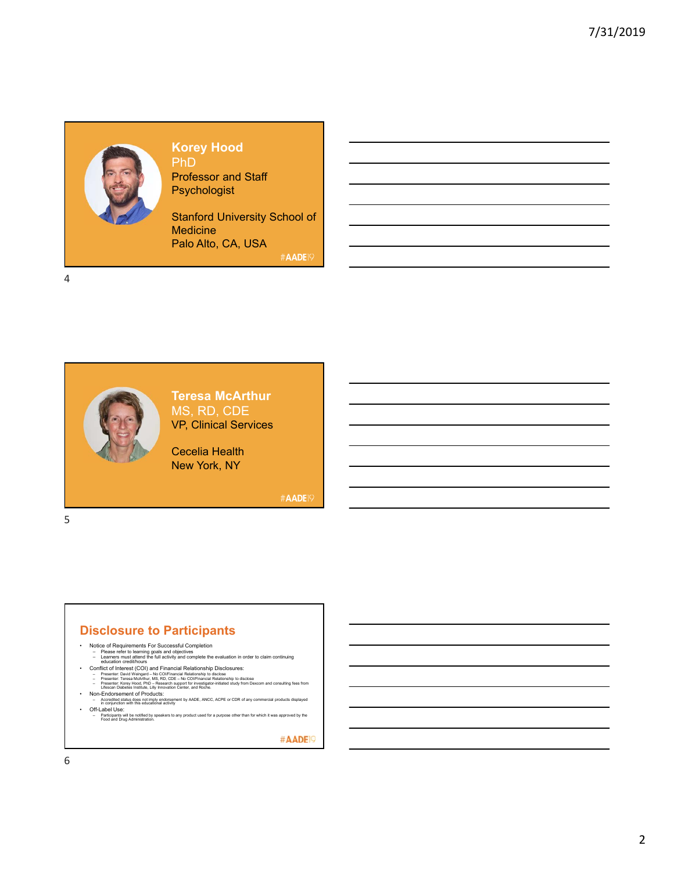# **Korey Hood**

PhD Professor and Staff **Psychologist** 

Stanford University School of **Medicine** Palo Alto, CA, USA

#AADE19

4

5



**Teresa McArthur** MS, RD, CDE VP, Clinical Services

Cecelia Health New York, NY

#AADE19

#### **Disclosure to Participants**

- 
- Notice of Requirements For Successful Completion<br>- Please refer to learning goals and objectives<br>- Learners must attend the full activity and complete the evaluation in order to claim continuing<br>- education credit/hours
	-
	-
	-
- Non-Endorsement of Products:<br>– Accredited status does not imply endorsement by AADE, ANCC, ACPE or CDR of any commercial products displayed<br>– in conjunction with this educational activity
- 
- Off-Label Use:<br>– Participants will be notified by speakers to any product used for a purpose other than for which it was approved by the<br>Food and Drug Administration.

#AADE<sup>19</sup>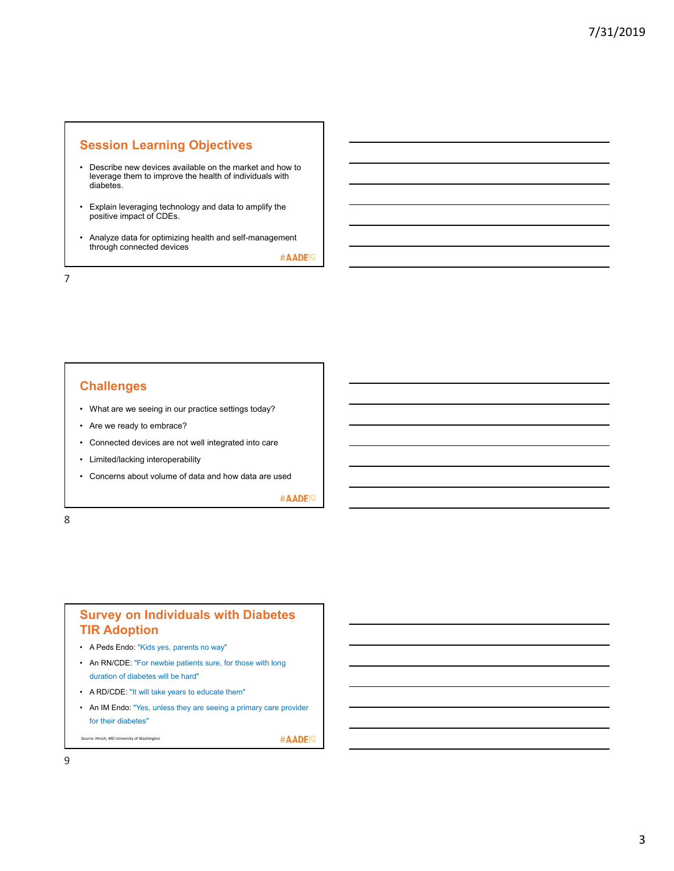#### **Session Learning Objectives**

- Describe new devices available on the market and how to leverage them to improve the health of individuals with diabetes.
- Explain leveraging technology and data to amplify the positive impact of CDEs.
- Analyze data for optimizing health and self-management through connected devices

#AADE<sup>19</sup>

7

#### **Challenges**

- What are we seeing in our practice settings today?
- Are we ready to embrace?
- Connected devices are not well integrated into care
- Limited/lacking interoperability
- Concerns about volume of data and how data are used

#AADE<sup>19</sup>

8

#### **Survey on Individuals with Diabetes TIR Adoption**

- A Peds Endo: "Kids yes, parents no way"
- An RN/CDE: "For newbie patients sure, for those with long duration of diabetes will be hard"
- A RD/CDE: "It will take years to educate them"
- An IM Endo: "Yes, unless they are seeing a primary care provider for their diabetes"

Source: Hirsch, MD University of Washington

#AADE<sup>1</sup>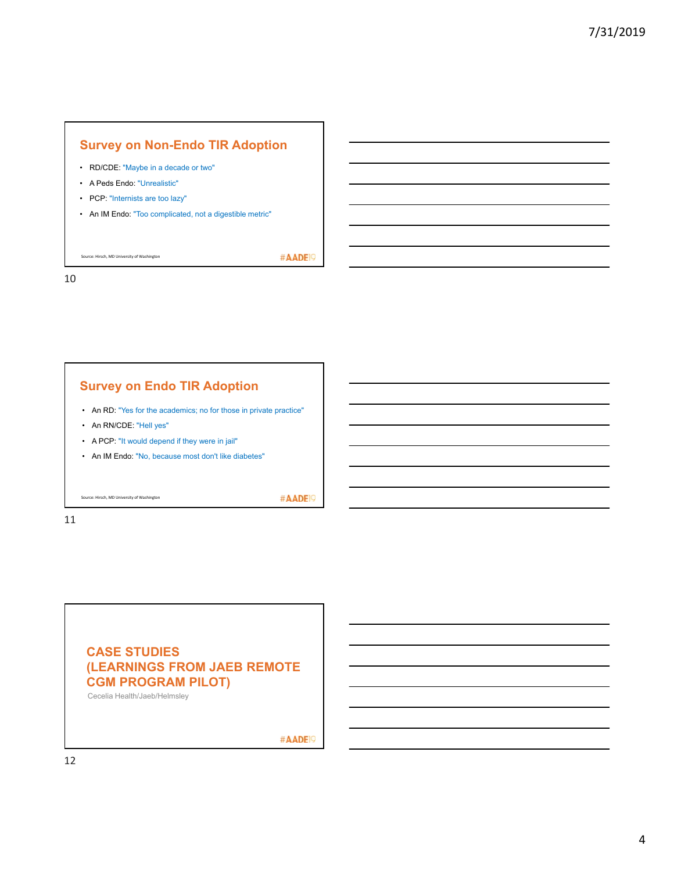# **Survey on Non-Endo TIR Adoption**

- RD/CDE: "Maybe in a decade or two"
- A Peds Endo: "Unrealistic"
- PCP: "Internists are too lazy"
- An IM Endo: "Too complicated, not a digestible metric"

Source: Hirsch, MD University of Washington

#AADE<sup>19</sup>

10

#### **Survey on Endo TIR Adoption**

- An RD: "Yes for the academics; no for those in private practice"
- An RN/CDE: "Hell yes"
- A PCP: "It would depend if they were in jail"
- An IM Endo: "No, because most don't like diabetes"

Source: Hirsch, MD University of Washington

#AADE<sup>19</sup>

11

## **CASE STUDIES (LEARNINGS FROM JAEB REMOTE CGM PROGRAM PILOT)**

Cecelia Health/Jaeb/Helmsley

#AADE<sup>19</sup>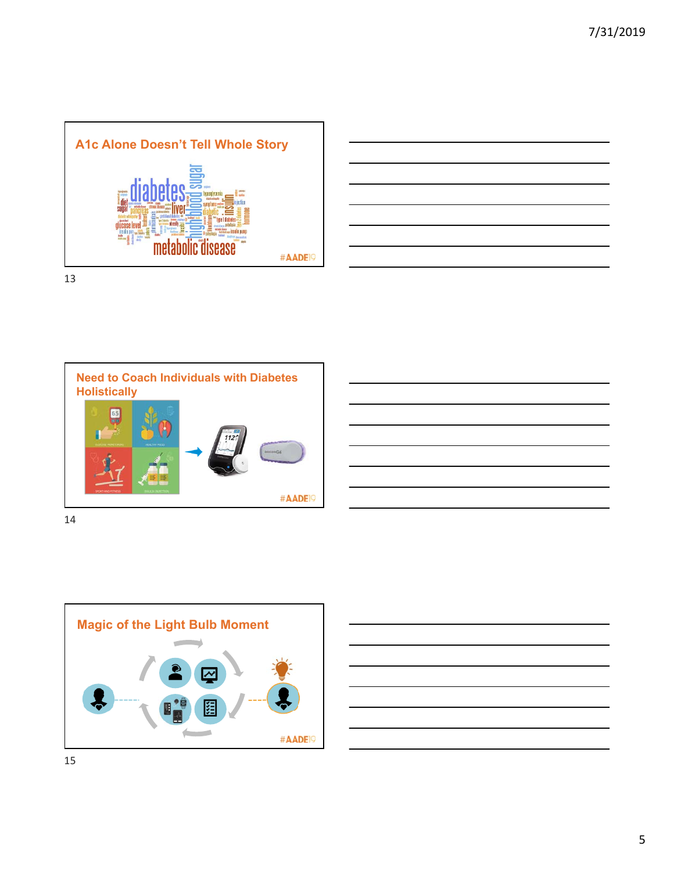



**Need to Coach Individuals with Diabetes Holistically** 65 #AADE<sup>19</sup>

14



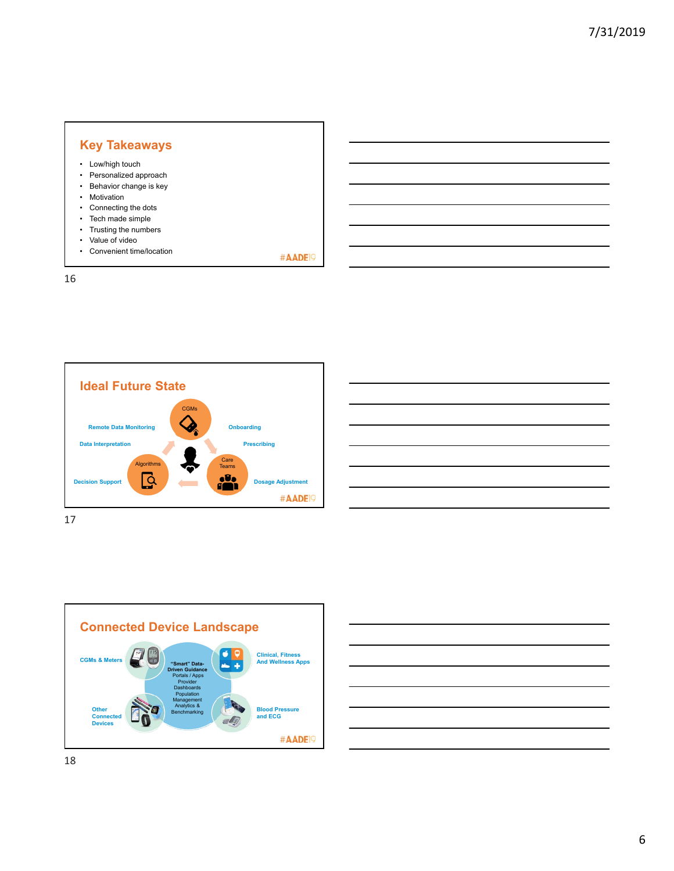#### **Key Takeaways** • Low/high touch • Personalized approach • Behavior change is key • Motivation • Connecting the dots • Tech made simple • Trusting the numbers • Value of video • Convenient time/location

#AADE<sup>19</sup>





| <u> Andreas Andreas Andreas Andreas Andreas Andreas Andreas Andreas Andreas Andreas Andreas Andreas Andreas Andr</u>  |  |  |
|-----------------------------------------------------------------------------------------------------------------------|--|--|
|                                                                                                                       |  |  |
| <u> Alexandro de la contrada de la contrada de la contrada de la contrada de la contrada de la contrada de la con</u> |  |  |
|                                                                                                                       |  |  |
| <u> 1988 - Andrea Santa Andrea Santa Andrea Santa Andrea Santa Andrea Santa Andrea Santa Andrea Santa Andrea San</u>  |  |  |
|                                                                                                                       |  |  |
|                                                                                                                       |  |  |
|                                                                                                                       |  |  |
|                                                                                                                       |  |  |
|                                                                                                                       |  |  |
| <u> 1989 - Johann Stoff, deutscher Stoffen und der Stoffen und der Stoffen und der Stoffen und der Stoffen und de</u> |  |  |
|                                                                                                                       |  |  |



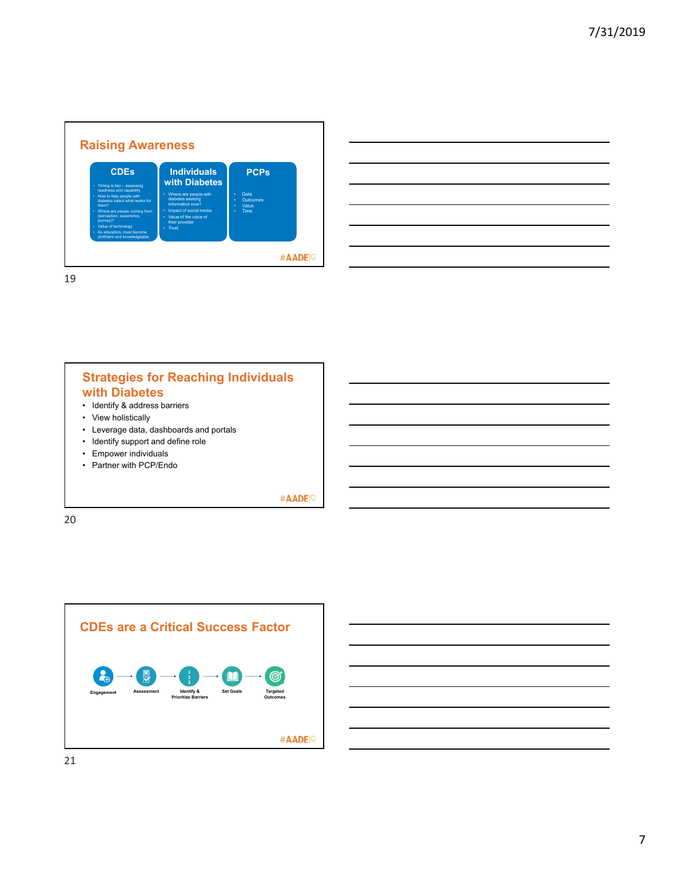

19

### **Strategies for Reaching Individuals with Diabetes**

- Identify & address barriers
- View holistically
- Leverage data, dashboards and portals
- Identify support and define role
- Empower individuals
- Partner with PCP/Endo

#AADE<sup>19</sup>

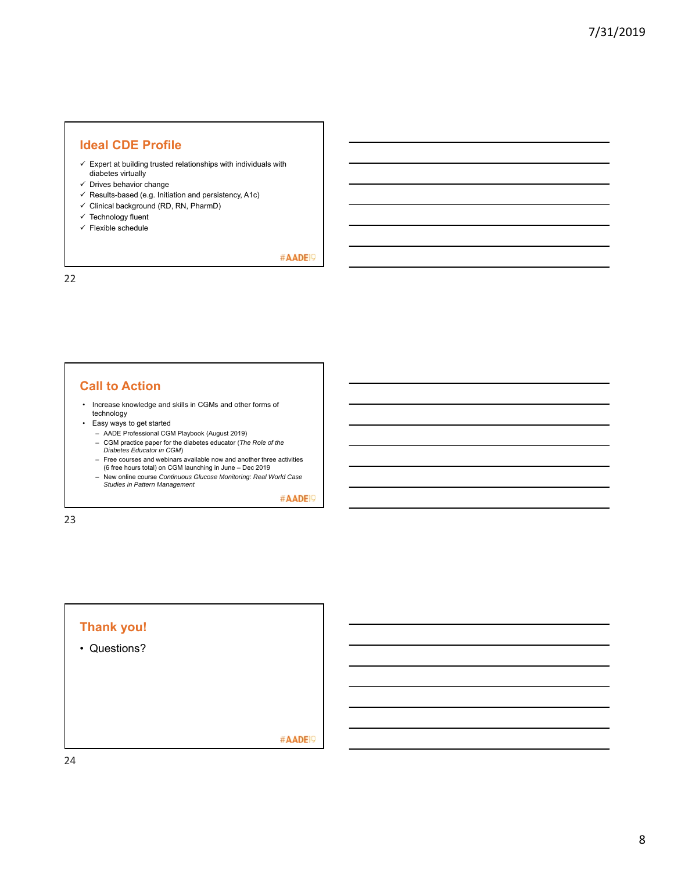#### **Ideal CDE Profile**

- $\checkmark$  Expert at building trusted relationships with individuals with diabetes virtually
- $\checkmark$  Drives behavior change
- $\checkmark$  Results-based (e.g. Initiation and persistency, A1c)
- $\checkmark$  Clinical background (RD, RN, PharmD)
- $\checkmark$  Technology fluent
- $\checkmark$  Flexible schedule

#AADE<sup>19</sup>

22

#### **Call to Action**

- Increase knowledge and skills in CGMs and other forms of technology
- Easy ways to get started
	- AADE Professional CGM Playbook (August 2019)
	- CGM practice paper for the diabetes educator (*The Role of the Diabetes Educator in CGM*) – Free courses and webinars available now and another three activities
	- (6 free hours total) on CGM launching in June Dec 2019
	- New online course *Continuous Glucose Monitoring: Real World Case Studies in Pattern Management*

#AADE<sup>19</sup>

23

# **Thank you!**

• Questions?

#AADE<sup>19</sup>